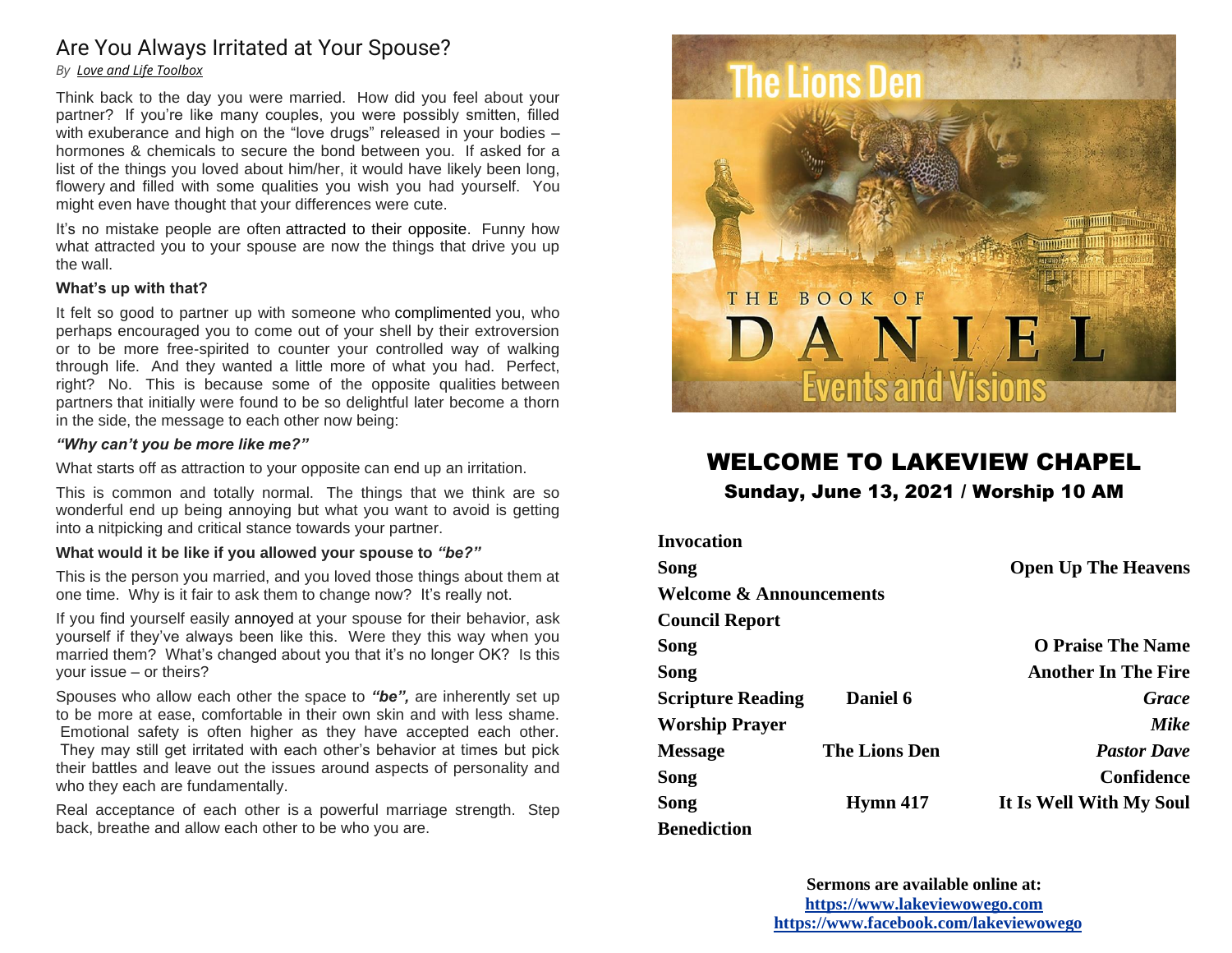# Are You Always Irritated at Your Spouse?

#### *By Love and Life Toolbox*

Think back to the day you were married. How did you feel about your partner? If you're like many couples, you were possibly smitten, filled with exuberance and high on the "love drugs" released in your bodies hormones & chemicals to secure the bond between you. If asked for a list of the things you loved about him/her, it would have likely been long, flowery and filled with some qualities you wish you had yourself. You might even have thought that your differences were cute.

It's no mistake people are often attracted to their opposite. Funny how what attracted you to your spouse are now the things that drive you up the wall.

#### **What's up with that?**

It felt so good to partner up with someone who complimented you, who perhaps encouraged you to come out of your shell by their extroversion or to be more free-spirited to counter your controlled way of walking through life. And they wanted a little more of what you had. Perfect, right? No. This is because some of the opposite qualities between partners that initially were found to be so delightful later become a thorn in the side, the message to each other now being:

#### *"Why can't you be more like me?"*

What starts off as attraction to your opposite can end up an irritation.

This is common and totally normal. The things that we think are so wonderful end up being annoying but what you want to avoid is getting into a nitpicking and critical stance towards your partner.

#### **What would it be like if you allowed your spouse to** *"be?"*

This is the person you married, and you loved those things about them at one time. Why is it fair to ask them to change now? It's really not.

If you find yourself easily annoyed at your spouse for their behavior, ask yourself if they've always been like this. Were they this way when you married them? What's changed about you that it's no longer OK? Is this your issue – or theirs?

Spouses who allow each other the space to *"be",* are inherently set up to be more at ease, comfortable in their own skin and with less shame. Emotional safety is often higher as they have accepted each other. They may still get irritated with each other's behavior at times but pick their battles and leave out the issues around aspects of personality and who they each are fundamentally.

Real acceptance of each other is a powerful marriage strength. Step back, breathe and allow each other to be who you are.



# WELCOME TO LAKEVIEW CHAPEL Sunday, June 13, 2021 / Worship 10 AM

| <b>Invocation</b>                  |                      |                            |
|------------------------------------|----------------------|----------------------------|
| Song                               |                      | <b>Open Up The Heavens</b> |
| <b>Welcome &amp; Announcements</b> |                      |                            |
| <b>Council Report</b>              |                      |                            |
| Song                               |                      | <b>O Praise The Name</b>   |
| Song                               |                      | <b>Another In The Fire</b> |
| <b>Scripture Reading</b>           | <b>Daniel 6</b>      | Grace                      |
| <b>Worship Prayer</b>              |                      | Mike                       |
| <b>Message</b>                     | <b>The Lions Den</b> | <b>Pastor Dave</b>         |
| Song                               |                      | Confidence                 |
| Song                               | <b>Hymn</b> 417      | It Is Well With My Soul    |
| <b>Benediction</b>                 |                      |                            |